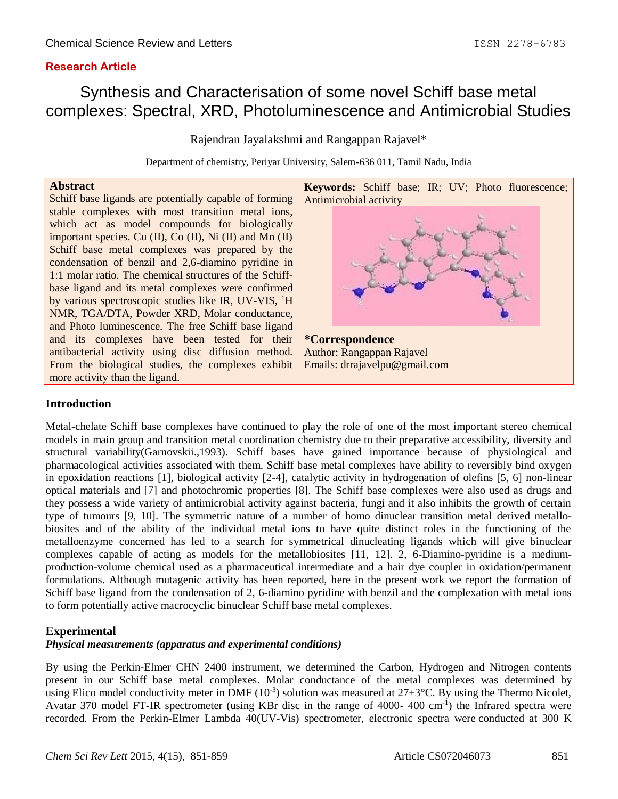# **Research Article**

# Synthesis and Characterisation of some novel Schiff base metal complexes: Spectral, XRD, Photoluminescence and Antimicrobial Studies

Rajendran Jayalakshmi and Rangappan Rajavel\*

Department of chemistry, Periyar University, Salem-636 011, Tamil Nadu, India

### **Abstract**

Schiff base ligands are potentially capable of forming stable complexes with most transition metal ions, which act as model compounds for biologically important species. Cu (II), Co (II), Ni (II) and Mn (II) Schiff base metal complexes was prepared by the condensation of benzil and 2,6-diamino pyridine in 1:1 molar ratio. The chemical structures of the Schiffbase ligand and its metal complexes were confirmed by various spectroscopic studies like IR, UV-VIS, <sup>1</sup>H NMR, TGA/DTA, Powder XRD, Molar conductance, and Photo luminescence. The free Schiff base ligand and its complexes have been tested for their antibacterial activity using disc diffusion method. From the biological studies, the complexes exhibit more activity than the ligand.



Author: Rangappan Rajavel Emails: drrajavelpu@gmail.com

## **Introduction**

Metal-chelate Schiff base complexes have continued to play the role of one of the most important stereo chemical models in main group and transition metal coordination chemistry due to their preparative accessibility, diversity and structural variability(Garnovskii.,1993). Schiff bases have gained importance because of physiological and pharmacological activities associated with them. Schiff base metal complexes have ability to reversibly bind oxygen in epoxidation reactions [1], biological activity [2-4], catalytic activity in hydrogenation of olefins [5, 6] non-linear optical materials and [7] and photochromic properties [8]. The Schiff base complexes were also used as drugs and they possess a wide variety of antimicrobial activity against bacteria, fungi and it also inhibits the growth of certain type of tumours [9, 10]. The symmetric nature of a number of homo dinuclear transition metal derived metallobiosites and of the ability of the individual metal ions to have quite distinct roles in the functioning of the metalloenzyme concerned has led to a search for symmetrical dinucleating ligands which will give binuclear complexes capable of acting as models for the metallobiosites [11, 12]. 2, 6-Diamino-pyridine is a mediumproduction-volume chemical used as a pharmaceutical intermediate and a hair dye coupler in oxidation/permanent formulations. Although mutagenic activity has been reported, here in the present work we report the formation of Schiff base ligand from the condensation of 2, 6-diamino pyridine with benzil and the complexation with metal ions to form potentially active macrocyclic binuclear Schiff base metal complexes.

# **Experimental**

# *Physical measurements (apparatus and experimental conditions)*

By using the Perkin-Elmer CHN 2400 instrument, we determined the Carbon, Hydrogen and Nitrogen contents present in our Schiff base metal complexes. Molar conductance of the metal complexes was determined by using Elico model conductivity meter in DMF  $(10^{-3})$  solution was measured at  $27\pm3^{\circ}$ C. By using the Thermo Nicolet, Avatar 370 model FT-IR spectrometer (using KBr disc in the range of 4000- 400 cm<sup>-1</sup>) the Infrared spectra were recorded. From the Perkin-Elmer Lambda 40(UV-Vis) spectrometer, electronic spectra were conducted at 300 K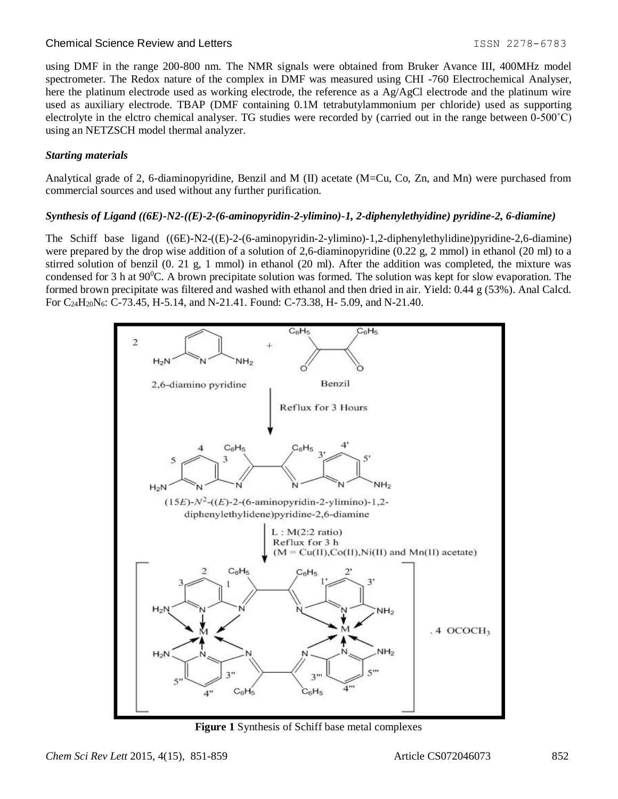### Chemical Science Review and Letters **ISSN 2278-6783** 1SSN 2278-6783

using DMF in the range 200-800 nm. The NMR signals were obtained from Bruker Avance III, 400MHz model spectrometer. The Redox nature of the complex in DMF was measured using CHI -760 Electrochemical Analyser, here the platinum electrode used as working electrode, the reference as a Ag/AgCl electrode and the platinum wire used as auxiliary electrode. TBAP (DMF containing 0.1M tetrabutylammonium per chloride) used as supporting electrolyte in the elctro chemical analyser. TG studies were recorded by (carried out in the range between 0-500˚C) using an NETZSCH model thermal analyzer.

### *Starting materials*

Analytical grade of 2, 6-diaminopyridine, Benzil and M (II) acetate (M=Cu, Co, Zn, and Mn) were purchased from commercial sources and used without any further purification.

### *Synthesis of Ligand ((6E)-N2-((E)-2-(6-aminopyridin-2-ylimino)-1, 2-diphenylethyidine) pyridine-2, 6-diamine)*

The Schiff base ligand ((6E)-N2-((E)-2-(6-aminopyridin-2-ylimino)-1,2-diphenylethylidine)pyridine-2,6-diamine) were prepared by the drop wise addition of a solution of 2,6-diaminopyridine  $(0.22 \text{ g}, 2 \text{ mmol})$  in ethanol  $(20 \text{ ml})$  to a stirred solution of benzil (0. 21 g, 1 mmol) in ethanol (20 ml). After the addition was completed, the mixture was condensed for 3 h at 90<sup>o</sup>C. A brown precipitate solution was formed. The solution was kept for slow evaporation. The formed brown precipitate was filtered and washed with ethanol and then dried in air. Yield: 0.44 g (53%). Anal Calcd. For  $C_{24}H_{20}N_6$ : C-73.45, H-5.14, and N-21.41. Found: C-73.38, H-5.09, and N-21.40.



**Figure 1** Synthesis of Schiff base metal complexes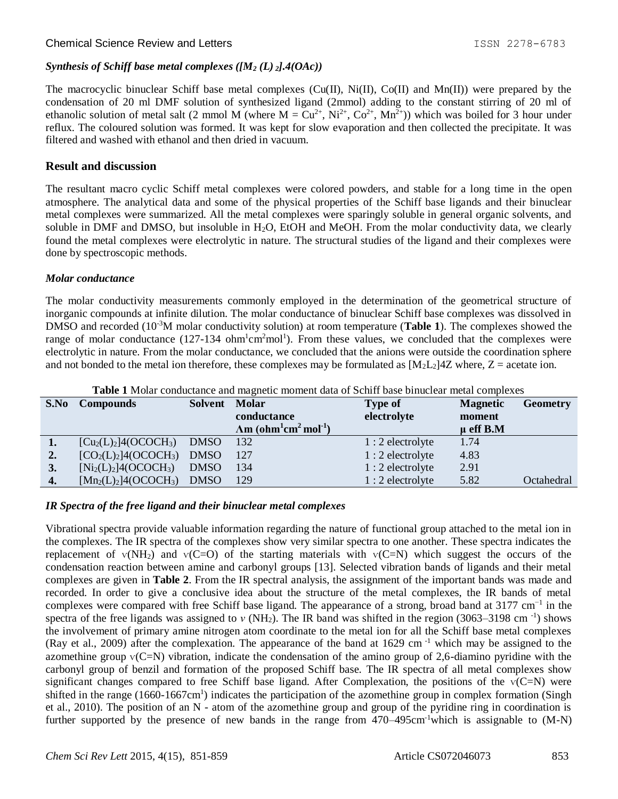# *Synthesis of Schiff base metal complexes ([M<sup>2</sup> (L) <sup>2</sup>].4(OAc))*

The macrocyclic binuclear Schiff base metal complexes (Cu(II), Ni(II), Co(II) and Mn(II)) were prepared by the condensation of 20 ml DMF solution of synthesized ligand (2mmol) adding to the constant stirring of 20 ml of ethanolic solution of metal salt (2 mmol M (where  $M = Cu^{2+}$ ,  $Ni^{2+}$ ,  $Co^{2+}$ ,  $Mn^{2+}$ )) which was boiled for 3 hour under reflux. The coloured solution was formed. It was kept for slow evaporation and then collected the precipitate. It was filtered and washed with ethanol and then dried in vacuum.

# **Result and discussion**

The resultant macro cyclic Schiff metal complexes were colored powders, and stable for a long time in the open atmosphere. The analytical data and some of the physical properties of the Schiff base ligands and their binuclear metal complexes were summarized. All the metal complexes were sparingly soluble in general organic solvents, and soluble in DMF and DMSO, but insoluble in  $H_2O$ , EtOH and MeOH. From the molar conductivity data, we clearly found the metal complexes were electrolytic in nature. The structural studies of the ligand and their complexes were done by spectroscopic methods.

### *Molar conductance*

The molar conductivity measurements commonly employed in the determination of the geometrical structure of inorganic compounds at infinite dilution. The molar conductance of binuclear Schiff base complexes was dissolved in DMSO and recorded (10-3M molar conductivity solution) at room temperature (**Table 1**). The complexes showed the range of molar conductance  $(127-134 \text{ ohm}^2\text{mol}^1)$ . From these values, we concluded that the complexes were electrolytic in nature. From the molar conductance, we concluded that the anions were outside the coordination sphere and not bonded to the metal ion therefore, these complexes may be formulated as  $[M_2L_2]$ <sup>4</sup>Z where, Z = acetate ion.

|      | <b>THOICE</b> THOIGH CONGRUMMED and magnetic moment data of Definit base of macreal metal complexes |             |                                                       |                   |                 |                 |  |  |  |
|------|-----------------------------------------------------------------------------------------------------|-------------|-------------------------------------------------------|-------------------|-----------------|-----------------|--|--|--|
| S.No | <b>Compounds</b>                                                                                    | Solvent     | <b>Molar</b>                                          | <b>Type of</b>    | <b>Magnetic</b> | <b>Geometry</b> |  |  |  |
|      |                                                                                                     |             | conductance                                           | electrolyte       | moment          |                 |  |  |  |
|      |                                                                                                     |             | $\Lambda$ m (ohm $^{1}$ cm $^{2}$ mol <sup>-1</sup> ) |                   | $\mu$ eff B.M   |                 |  |  |  |
| 1.   | $[Cu2(L)2]4(OCOCH3)$                                                                                | <b>DMSO</b> | 132                                                   | $1:2$ electrolyte | 1.74            |                 |  |  |  |
| 2.   | $[CO2(L)2]4(OCOCH3)$                                                                                | <b>DMSO</b> | 127                                                   | $1:2$ electrolyte | 4.83            |                 |  |  |  |
| 3.   | $[Ni_2(L)_2]4(OCOCH_3)$                                                                             | <b>DMSO</b> | 134                                                   | $1:2$ electrolyte | 2.91            |                 |  |  |  |
| 4.   | $[Mn_2(L)_2]4(OCOCH_3)$                                                                             | <b>DMSO</b> | 129                                                   | $1:2$ electrolyte | 5.82            | Octahedral      |  |  |  |

**Table 1** Molar conductance and magnetic moment data of Schiff base binuclear metal complexes

## *IR Spectra of the free ligand and their binuclear metal complexes*

Vibrational spectra provide valuable information regarding the nature of functional group attached to the metal ion in the complexes. The IR spectra of the complexes show very similar spectra to one another. These spectra indicates the replacement of  $v(NH_2)$  and  $v(C=O)$  of the starting materials with  $v(C=N)$  which suggest the occurs of the condensation reaction between amine and carbonyl groups [13]. Selected vibration bands of ligands and their metal complexes are given in **Table 2**. From the IR spectral analysis, the assignment of the important bands was made and recorded. In order to give a conclusive idea about the structure of the metal complexes, the IR bands of metal complexes were compared with free Schiff base ligand. The appearance of a strong, broad band at 3177 cm<sup>-1</sup> in the spectra of the free ligands was assigned to  $v$  (NH<sub>2</sub>). The IR band was shifted in the region (3063–3198 cm<sup>-1</sup>) shows the involvement of primary amine nitrogen atom coordinate to the metal ion for all the Schiff base metal complexes (Ray et al., 2009) after the complexation. The appearance of the band at 1629 cm<sup>-1</sup> which may be assigned to the azomethine group  $V(C=N)$  vibration, indicate the condensation of the amino group of 2,6-diamino pyridine with the carbonyl group of benzil and formation of the proposed Schiff base. The IR spectra of all metal complexes show significant changes compared to free Schiff base ligand. After Complexation, the positions of the ∨(C=N) were shifted in the range (1660-1667cm<sup>1</sup>) indicates the participation of the azomethine group in complex formation (Singh et al., 2010). The position of an N - atom of the azomethine group and group of the pyridine ring in coordination is further supported by the presence of new bands in the range from 470–495cm<sup>-1</sup>which is assignable to (M-N)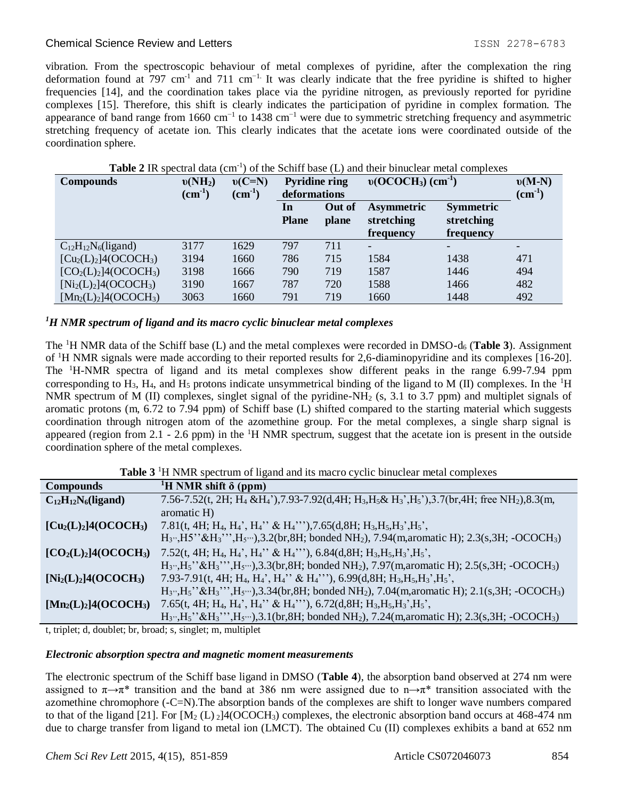### Chemical Science Review and Letters **ISSN 2278-6783** Chemical Science Review and Letters

vibration. From the spectroscopic behaviour of metal complexes of pyridine, after the complexation the ring deformation found at 797 cm<sup>-1</sup> and 711 cm<sup>-1.</sup> It was clearly indicate that the free pyridine is shifted to higher frequencies [14], and the coordination takes place via the pyridine nitrogen, as previously reported for pyridine complexes [15]. Therefore, this shift is clearly indicates the participation of pyridine in complex formation. The appearance of band range from 1660 cm<sup>-1</sup> to 1438 cm<sup>-1</sup> were due to symmetric stretching frequency and asymmetric stretching frequency of acetate ion. This clearly indicates that the acetate ions were coordinated outside of the coordination sphere.

| <b>Compounds</b>           | $v(NH_2)$          | $v(C=N)$           | <b>Pyridine ring</b> |        | $v(OCOCH3)$ (cm <sup>-1</sup> ) | $v(M-N)$         |                          |
|----------------------------|--------------------|--------------------|----------------------|--------|---------------------------------|------------------|--------------------------|
|                            | $\text{(cm}^{-1})$ | $\text{(cm}^{-1})$ | deformations         |        |                                 |                  | $\text{(cm}^{-1})$       |
|                            |                    |                    | In                   | Out of | <b>Asymmetric</b>               | <b>Symmetric</b> |                          |
|                            |                    |                    | <b>Plane</b>         | plane  | stretching                      | stretching       |                          |
|                            |                    |                    |                      |        | frequency                       | frequency        |                          |
| $C_{12}H_{12}N_6$ (ligand) | 3177               | 1629               | 797                  | 711    | $\overline{\phantom{0}}$        |                  | $\overline{\phantom{a}}$ |
| $[Cu2(L)2]4(OCOCH3)$       | 3194               | 1660               | 786                  | 715    | 1584                            | 1438             | 471                      |
| $[CO2(L)2]4(OCOCH3)$       | 3198               | 1666               | 790                  | 719    | 1587                            | 1446             | 494                      |
| $[Ni_2(L)_2]4(OCOCH_3)$    | 3190               | 1667               | 787                  | 720    | 1588                            | 1466             | 482                      |
| $[Mn_2(L)_2]4(OCOCH_3)$    | 3063               | 1660               | 791                  | 719    | 1660                            | 1448             | 492                      |

# Table 2 IR spectral data (cm<sup>-1</sup>) of the Schiff base (L) and their binuclear metal complexes

### *<sup>1</sup>H NMR spectrum of ligand and its macro cyclic binuclear metal complexes*

The <sup>1</sup>H NMR data of the Schiff base (L) and the metal complexes were recorded in DMSO-d<sup>6</sup> (**Table 3**). Assignment of <sup>1</sup>H NMR signals were made according to their reported results for 2,6-diaminopyridine and its complexes [16-20]. The <sup>1</sup>H-NMR spectra of ligand and its metal complexes show different peaks in the range 6.99-7.94 ppm corresponding to  $H_3$ ,  $H_4$ , and  $H_5$  protons indicate unsymmetrical binding of the ligand to M (II) complexes. In the <sup>1</sup>H NMR spectrum of M (II) complexes, singlet signal of the pyridine-NH<sub>2</sub> (s, 3.1 to 3.7 ppm) and multiplet signals of aromatic protons (m, 6.72 to 7.94 ppm) of Schiff base (L) shifted compared to the starting material which suggests coordination through nitrogen atom of the azomethine group. For the metal complexes, a single sharp signal is appeared (region from 2.1 - 2.6 ppm) in the  ${}^{1}H$  NMR spectrum, suggest that the acetate ion is present in the outside coordination sphere of the metal complexes.

| <b>Table 3</b> <sup>1</sup> H NMR spectrum of ligand and its macro cyclic binuclear metal complexes |  |  |
|-----------------------------------------------------------------------------------------------------|--|--|
|                                                                                                     |  |  |

| <b>Compounds</b>                                              | <sup>1</sup> H NMR shift $\delta$ (ppm)                                                                                                                                                                                                                                         |
|---------------------------------------------------------------|---------------------------------------------------------------------------------------------------------------------------------------------------------------------------------------------------------------------------------------------------------------------------------|
| $C_{12}H_{12}N_6$ (ligand)                                    | 7.56-7.52(t, 2H; H <sub>4</sub> &H <sub>4</sub> '),7.93-7.92(d,4H; H <sub>3</sub> ,H <sub>5</sub> & H <sub>3</sub> ',H <sub>5</sub> '),3.7(br,4H; free NH <sub>2</sub> ),8.3(m,                                                                                                 |
|                                                               | aromatic H)                                                                                                                                                                                                                                                                     |
| $\left[\text{Cu}_2\text{(L)}_2\right]$ 4(OCOCH <sub>3</sub> ) | 7.81(t, 4H; H <sub>4</sub> , H <sub>4</sub> ', H <sub>4</sub> '' & H <sub>4</sub> '''),7.65(d, 8H; H <sub>3</sub> , H <sub>5</sub> , H <sub>3</sub> ', H <sub>5</sub> ',                                                                                                        |
|                                                               | $H_3$ , $H_5$ <sup>2</sup> & $H_3$ <sup>2</sup> , $H_5$ , $H_5$ , $H_5$ , $H_5$ , $H_5$ , $H_5$ , $H_5$ , $H_5$ , $H_2$ , $H_2$ , $H_3$ , $H_5$ , $H_5$ , $H_5$ , $H_5$ , $H_5$ , $H_5$ , $H_5$ , $H_5$ , $H_5$ , $H_5$ , $H_5$ , $H_5$ , $H_5$ , $H_5$ , $H_5$ , $H_5$ , $H_5$ |
| $[CO2(L)2]4(OCOCH3)$                                          | 7.52(t, 4H; H <sub>4</sub> , H <sub>4</sub> ', H <sub>4</sub> '' & H <sub>4</sub> '''), 6.84(d, 8H; H <sub>3</sub> , H <sub>5</sub> , H <sub>3</sub> ', H <sub>5</sub> ',                                                                                                       |
|                                                               | $H_3, H_5$ <sup>2</sup> & $H_3$ <sup>2</sup> $, H_5$ <sup>2</sup> , $, H_5$ <sub>2</sub> , $, 3.3$ (br, 8H; bonded NH <sub>2</sub> ), 7.97(m, aromatic H); 2.5(s, 3H; -OCOCH <sub>3</sub> )                                                                                     |
| $[Ni_2(L)_2]4(OCOCH_3)$                                       | 7.93-7.91(t, 4H; H <sub>4</sub> , H <sub>4</sub> ', H <sub>4</sub> '' & H <sub>4</sub> '''), 6.99(d, 8H; H <sub>3</sub> , H <sub>5</sub> , H <sub>3</sub> ', H <sub>5</sub> ',                                                                                                  |
|                                                               | $H_3$ , $H_5$ <sup>2</sup> & $H_3$ <sup>2</sup> , $H_5$ , $H_5$ , $3.34$ (br, 8H; bonded NH <sub>2</sub> ), 7.04(m, aromatic H); 2.1(s, 3H; -OCOCH <sub>3</sub> )                                                                                                               |
| $[Mn_2(L)_2]4(OCOCH_3)$                                       | 7.65(t, 4H; H <sub>4</sub> , H <sub>4</sub> ', H <sub>4</sub> '' & H <sub>4</sub> '''), 6.72(d, 8H; H <sub>3</sub> , H <sub>5</sub> , H <sub>3</sub> ', H <sub>5</sub> ',                                                                                                       |
|                                                               | $H_3, H_5$ " & $H_3$ ", $H_5$ ", $H_5$ "), 3.1(br, 8H; bonded NH <sub>2</sub> ), 7.24(m, aromatic H); 2.3(s, 3H; -OCOCH <sub>3</sub> )                                                                                                                                          |

t, triplet; d, doublet; br, broad; s, singlet; m, multiplet

### *Electronic absorption spectra and magnetic moment measurements*

The electronic spectrum of the Schiff base ligand in DMSO (**Table 4**), the absorption band observed at 274 nm were assigned to  $\pi \rightarrow \pi^*$  transition and the band at 386 nm were assigned due to  $n \rightarrow \pi^*$  transition associated with the azomethine chromophore (-C=N).The absorption bands of the complexes are shift to longer wave numbers compared to that of the ligand [21]. For  $[M_2 (L)_2]$ 4(OCOCH<sub>3</sub>) complexes, the electronic absorption band occurs at 468-474 nm due to charge transfer from ligand to metal ion (LMCT). The obtained Cu (II) complexes exhibits a band at 652 nm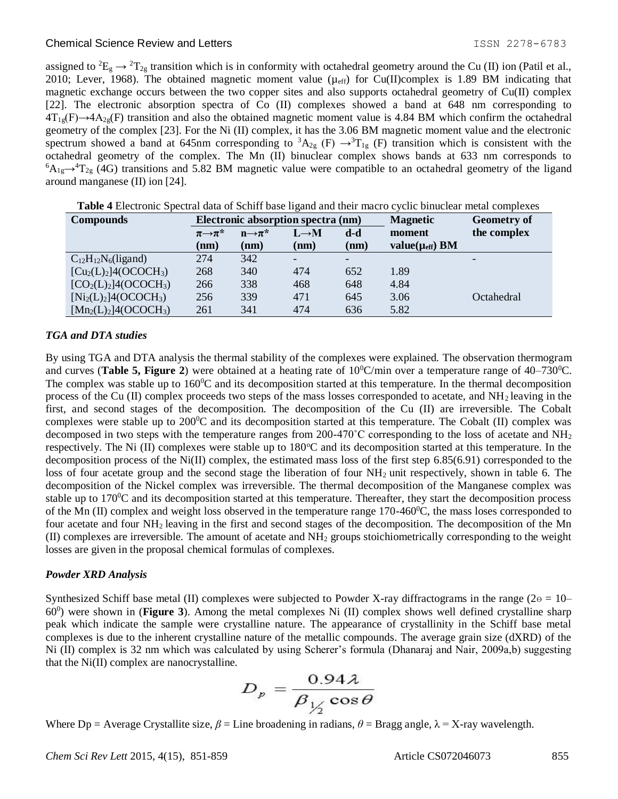### Chemical Science Review and Letters **ISSN 2278-6783 Chemical Science Review and Letters**

assigned to  ${}^2E_g \rightarrow {}^2T_{2g}$  transition which is in conformity with octahedral geometry around the Cu (II) ion (Patil et al., 2010; Lever, 1968). The obtained magnetic moment value ( $\mu_{eff}$ ) for Cu(II)complex is 1.89 BM indicating that magnetic exchange occurs between the two copper sites and also supports octahedral geometry of Cu(II) complex [22]. The electronic absorption spectra of Co (II) complexes showed a band at 648 nm corresponding to  $4T_{19}(F) \rightarrow 4A_{29}(F)$  transition and also the obtained magnetic moment value is 4.84 BM which confirm the octahedral geometry of the complex [23]. For the Ni (II) complex, it has the 3.06 BM magnetic moment value and the electronic spectrum showed a band at 645nm corresponding to  ${}^3A_{2g}$  (F)  $\rightarrow {}^3T_{1g}$  (F) transition which is consistent with the octahedral geometry of the complex. The Mn (II) binuclear complex shows bands at 633 nm corresponds to  ${}^6A_{1g} \rightarrow {}^4T_{2g}$  (4G) transitions and 5.82 BM magnetic value were compatible to an octahedral geometry of the ligand around manganese (II) ion [24].

| <b>Compounds</b>           | Electronic absorption spectra (nm)               |      |                                                     |      | <b>Magnetic</b>         | <b>Geometry of</b> |
|----------------------------|--------------------------------------------------|------|-----------------------------------------------------|------|-------------------------|--------------------|
|                            | $\pi \rightarrow \pi^*$<br>$n \rightarrow \pi^*$ |      | $\mathbf{d}\text{-}\mathbf{d}$<br>$L \rightarrow M$ |      | moment                  | the complex        |
|                            | (nm)                                             | (nm) | (nm)                                                | (nm) | value( $\mu_{eff}$ ) BM |                    |
| $C_{12}H_{12}N_6$ (ligand) | 274                                              | 342  |                                                     |      |                         |                    |
| $[Cu2(L)2]4(OCOCH3)$       | 268                                              | 340  | 474                                                 | 652  | 1.89                    |                    |
| $[CO2(L)2]4(OCOCH3)$       | 266                                              | 338  | 468                                                 | 648  | 4.84                    |                    |
| $[Ni_2(L)_2]4(OCOCH_3)$    | 256                                              | 339  | 471                                                 | 645  | 3.06                    | Octahedral         |
| $[Mn_2(L)_2]4(OCOCH_3)$    | 261                                              | 341  | 474                                                 | 636  | 5.82                    |                    |

**Table 4** Electronic Spectral data of Schiff base ligand and their macro cyclic binuclear metal complexes

### *TGA and DTA studies*

By using TGA and DTA analysis the thermal stability of the complexes were explained. The observation thermogram and curves (**Table 5, Figure 2**) were obtained at a heating rate of  $10^{\circ}$ C/min over a temperature range of  $40-730^{\circ}$ C. The complex was stable up to  $160^{\circ}$ C and its decomposition started at this temperature. In the thermal decomposition process of the Cu (II) complex proceeds two steps of the mass losses corresponded to acetate, and  $NH<sub>2</sub>$  leaving in the first, and second stages of the decomposition. The decomposition of the Cu (II) are irreversible. The Cobalt complexes were stable up to  $200^{\circ}\text{C}$  and its decomposition started at this temperature. The Cobalt (II) complex was decomposed in two steps with the temperature ranges from 200-470 $^{\circ}$ C corresponding to the loss of acetate and NH<sub>2</sub> respectively. The Ni (II) complexes were stable up to  $180^{\circ}$ C and its decomposition started at this temperature. In the decomposition process of the Ni(II) complex, the estimated mass loss of the first step  $6.85(6.91)$  corresponded to the loss of four acetate group and the second stage the liberation of four NH<sub>2</sub> unit respectively, shown in table 6. The decomposition of the Nickel complex was irreversible. The thermal decomposition of the Manganese complex was stable up to  $170^{\circ}$ C and its decomposition started at this temperature. Thereafter, they start the decomposition process of the Mn (II) complex and weight loss observed in the temperature range  $170-460^{\circ}$ C, the mass loses corresponded to four acetate and four NH2 leaving in the first and second stages of the decomposition. The decomposition of the Mn (II) complexes are irreversible. The amount of acetate and NH<sup>2</sup> groups stoichiometrically corresponding to the weight losses are given in the proposal chemical formulas of complexes.

### *Powder XRD Analysis*

Synthesized Schiff base metal (II) complexes were subjected to Powder X-ray diffractograms in the range ( $2\text{e} = 10$ – 60<sup>0</sup> ) were shown in (**Figure 3**). Among the metal complexes Ni (II) complex shows well defined crystalline sharp peak which indicate the sample were crystalline nature. The appearance of crystallinity in the Schiff base metal complexes is due to the inherent crystalline nature of the metallic compounds. The average grain size (dXRD) of the Ni (II) complex is 32 nm which was calculated by using Scherer's formula (Dhanaraj and Nair, 2009a,b) suggesting that the Ni(II) complex are nanocrystalline.

$$
D_p = \frac{0.94\lambda}{\beta_{1/2}\cos\theta}
$$

Where  $Dp = A$ verage Crystallite size,  $\beta =$  Line broadening in radians,  $\theta = B$ ragg angle,  $\lambda = X$ -ray wavelength.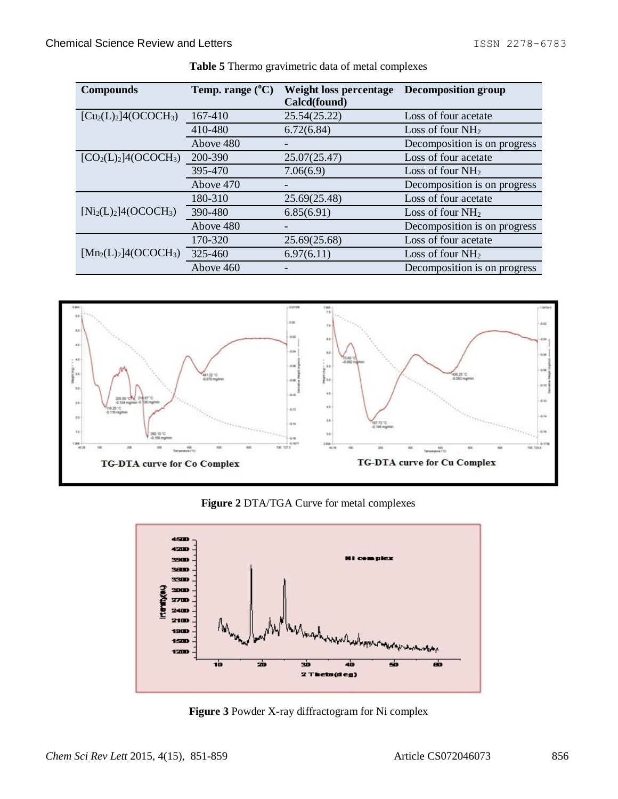| <b>Compounds</b>                   | Temp. range $(^{\circ}C)$ | Weight loss percentage<br>Calcd(found) | Decomposition group          |
|------------------------------------|---------------------------|----------------------------------------|------------------------------|
| $[Cu2(L)2]4(OCOCH3)$               | 167-410                   | 25.54(25.22)                           | Loss of four acetate         |
|                                    | 410-480                   | 6.72(6.84)                             | Loss of four $NH2$           |
|                                    | Above 480                 |                                        | Decomposition is on progress |
| $[CO2(L)2]$ 4(OCOCH <sub>3</sub> ) | 200-390                   | 25.07(25.47)                           | Loss of four acetate         |
|                                    | 395-470                   | 7.06(6.9)                              | Loss of four $NH2$           |
|                                    | Above 470                 |                                        | Decomposition is on progress |
|                                    | 180-310                   | 25.69(25.48)                           | Loss of four acetate         |
| $[Ni_2(L)_2]4(OCOCH_3)$            | 390-480                   | 6.85(6.91)                             | Loss of four $NH2$           |
|                                    | Above 480                 |                                        | Decomposition is on progress |
|                                    | 170-320                   | 25.69(25.68)                           | Loss of four acetate         |
| $[Mn_2(L)_2]4(OCOCH_3)$            | 325-460                   | 6.97(6.11)                             | Loss of four $NH2$           |
|                                    | Above 460                 |                                        | Decomposition is on progress |





**Figure 2** DTA/TGA Curve for metal complexes



**Figure 3** Powder X-ray diffractogram for Ni complex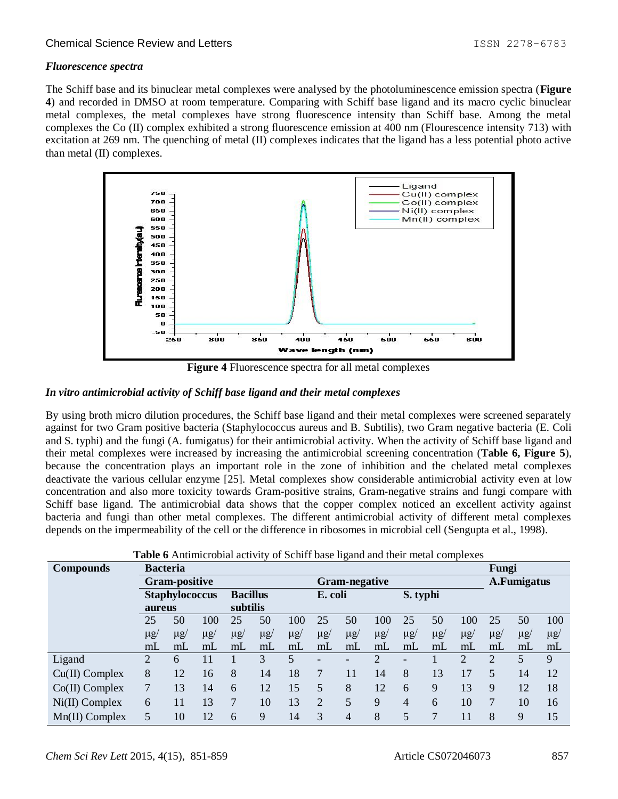### Chemical Science Review and Letters **ISSN 2278-6783** Chemical Science Review and Letters

### *Fluorescence spectra*

The Schiff base and its binuclear metal complexes were analysed by the photoluminescence emission spectra (**Figure 4**) and recorded in DMSO at room temperature. Comparing with Schiff base ligand and its macro cyclic binuclear metal complexes, the metal complexes have strong fluorescence intensity than Schiff base. Among the metal complexes the Co (II) complex exhibited a strong fluorescence emission at 400 nm (Flourescence intensity 713) with excitation at 269 nm. The quenching of metal (II) complexes indicates that the ligand has a less potential photo active than metal (II) complexes.



**Figure 4** Fluorescence spectra for all metal complexes

### *In vitro antimicrobial activity of Schiff base ligand and their metal complexes*

By using broth micro dilution procedures, the Schiff base ligand and their metal complexes were screened separately against for two Gram positive bacteria (Staphylococcus aureus and B. Subtilis), two Gram negative bacteria (E. Coli and S. typhi) and the fungi (A. fumigatus) for their antimicrobial activity. When the activity of Schiff base ligand and their metal complexes were increased by increasing the antimicrobial screening concentration (**Table 6, Figure 5**), because the concentration plays an important role in the zone of inhibition and the chelated metal complexes deactivate the various cellular enzyme [25]. Metal complexes show considerable antimicrobial activity even at low concentration and also more toxicity towards Gram-positive strains, Gram-negative strains and fungi compare with Schiff base ligand. The antimicrobial data shows that the copper complex noticed an excellent activity against bacteria and fungi than other metal complexes. The different antimicrobial activity of different metal complexes depends on the impermeability of the cell or the difference in ribosomes in microbial cell (Sengupta et al., 1998).

| <b>Compounds</b> | <b>Bacteria</b>                       |                |                 |          |          |          |          |          |             |          | Fungi          |          |          |          |          |
|------------------|---------------------------------------|----------------|-----------------|----------|----------|----------|----------|----------|-------------|----------|----------------|----------|----------|----------|----------|
|                  | <b>Gram-positive</b><br>Gram-negative |                |                 |          |          |          |          |          | A.Fumigatus |          |                |          |          |          |          |
|                  | <b>Staphylococcus</b>                 |                | <b>Bacillus</b> |          | E. coli  |          | S. typhi |          |             |          |                |          |          |          |          |
|                  | aureus                                |                |                 | subtilis |          |          |          |          |             |          |                |          |          |          |          |
|                  | 25                                    | 50             | 100             | 25       | 50       | 100      | 25       | 50       | 100         | 25       | 50             | 100      | 25       | 50       | 100      |
|                  | $\mu$ g/                              | $\mu$ g/       | $\mu$ g/        | $\mu$ g/ | $\mu$ g/ | $\mu$ g/ | $\mu$ g/ | $\mu$ g/ | $\mu$ g/    | $\mu$ g/ | $\mu$ g/       | $\mu$ g/ | $\mu$ g/ | $\mu$ g/ | $\mu$ g/ |
|                  | mL                                    | m <sub>L</sub> | mL              | mL       | mL       | mL       | mL       | mL       | mL          | mL       | m <sub>L</sub> | mL       | mL       | mL       | mL       |
| Ligand           | 2                                     | 6              | 11              |          | 3        | 5        |          |          | ∍           |          |                | ↑        | C        | 5        | 9        |
| $Cu(II)$ Complex | 8                                     | 12             | 16              | 8        | 14       | 18       |          | 11       | 14          | 8        | 13             | 17       | 5        | 14       | 12       |
| $Co(II)$ Complex | 7                                     | 13             | 14              | 6        | 12       | 15       | 5        | 8        | 12          | 6        | 9              | 13       | 9        | 12       | 18       |
| $Ni(II)$ Complex | 6                                     | 11             | 13              | 7        | 10       | 13       | $\gamma$ | 5        | 9           | 4        | 6              | 10       | 7        | 10       | 16       |
| Mn(II) Complex   | 5                                     | 10             | 12              | 6        | 9        | 14       | 3        | 4        | 8           |          | 7              | 11       | 8        | 9        | 15       |

**Table 6** Antimicrobial activity of Schiff base ligand and their metal complexes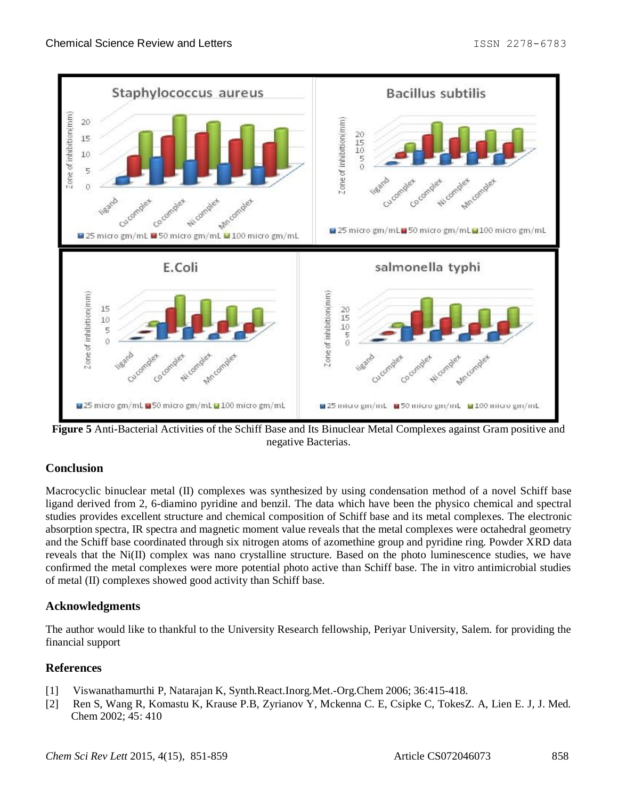

**Figure 5** Anti-Bacterial Activities of the Schiff Base and Its Binuclear Metal Complexes against Gram positive and negative Bacterias.

# **Conclusion**

Macrocyclic binuclear metal (II) complexes was synthesized by using condensation method of a novel Schiff base ligand derived from 2, 6-diamino pyridine and benzil. The data which have been the physico chemical and spectral studies provides excellent structure and chemical composition of Schiff base and its metal complexes. The electronic absorption spectra, IR spectra and magnetic moment value reveals that the metal complexes were octahedral geometry and the Schiff base coordinated through six nitrogen atoms of azomethine group and pyridine ring. Powder XRD data reveals that the Ni(II) complex was nano crystalline structure. Based on the photo luminescence studies, we have confirmed the metal complexes were more potential photo active than Schiff base. The in vitro antimicrobial studies of metal (II) complexes showed good activity than Schiff base.

# **Acknowledgments**

The author would like to thankful to the University Research fellowship, Periyar University, Salem. for providing the financial support

# **References**

- [1] Viswanathamurthi P, Natarajan K, Synth.React.Inorg.Met.-Org.Chem 2006; 36:415-418.
- [2] Ren S, Wang R, Komastu K, Krause P.B, Zyrianov Y, Mckenna C. E, Csipke C, TokesZ. A, Lien E. J, J. Med. Chem 2002; 45: 410